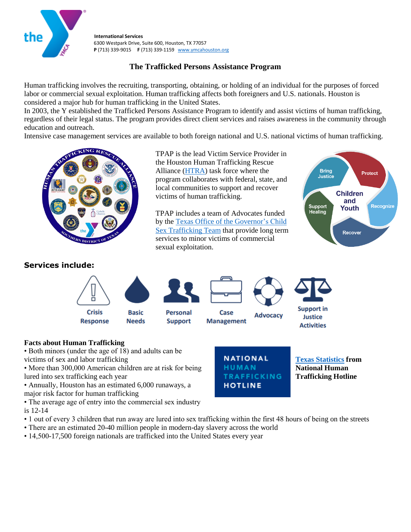

**International Services** 6300 Westpark Drive, Suite 600, Houston, TX 77057 **P** (713) 339-9015 **F** (713) 339-1159 www.ymcahouston.org

## **The Trafficked Persons Assistance Program**

Human trafficking involves the recruiting, transporting, obtaining, or holding of an individual for the purposes of forced labor or commercial sexual exploitation. Human trafficking affects both foreigners and U.S. nationals. Houston is considered a major hub for human trafficking in the United States.

In 2003, the Y established the Trafficked Persons Assistance Program to identify and assist victims of human trafficking, regardless of their legal status. The program provides direct client services and raises awareness in the community through education and outreach.

Intensive case management services are available to both foreign national and U.S. national victims of human trafficking.



TPAP is the lead Victim Service Provider in the Houston Human Trafficking Rescue Alliance [\(HTRA\)](https://www.justice.gov/usao-sdtx/human-trafficking-rescue-alliance) task force where the program collaborates with federal, state, and local communities to support and recover victims of human trafficking.

TPAP includes a team of Advocates funded by th[e Texas Office of the Governor's Child](https://gov.texas.gov/organization/cjd/childsextrafficking)  [Sex Trafficking Team](https://gov.texas.gov/organization/cjd/childsextrafficking) that provide long term services to minor victims of commercial sexual exploitation.



## **Services include:**



## **Facts about Human Trafficking**

• Both minors (under the age of 18) and adults can be victims of sex and labor trafficking

• More than 300,000 American children are at risk for being lured into sex trafficking each year

• Annually, Houston has an estimated 6,000 runaways, a major risk factor for human trafficking

• The average age of entry into the commercial sex industry is 12-14

- 1 out of every 3 children that run away are lured into sex trafficking within the first 48 hours of being on the streets
- There are an estimated 20-40 million people in modern-day slavery across the world
- 14,500-17,500 foreign nationals are trafficked into the United States every year



**[Texas Statistics](https://humantraffickinghotline.org/state/texas) from National Human Trafficking Hotline**